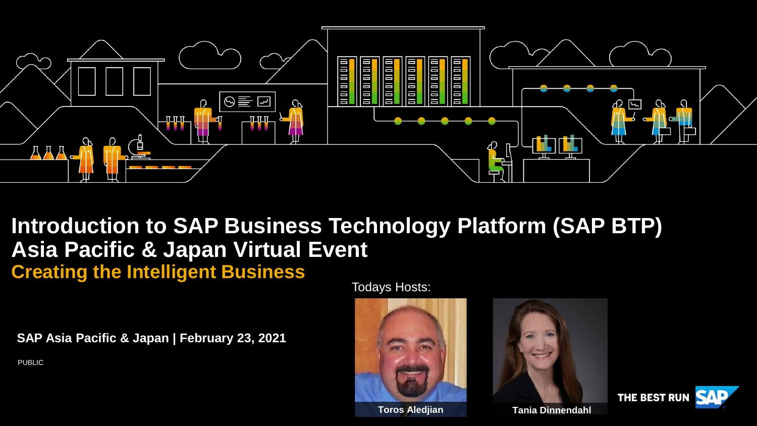

## **Introduction to SAP Business Technology Platform (SAP BTP) Asia Pacific & Japan Virtual Event Creating the Intelligent Business**

**SAP Asia Pacific & Japan | February 23, 2021**

PUBLIC

Todays Hosts:







**Toros Aledjian Tania Dinnendahl**

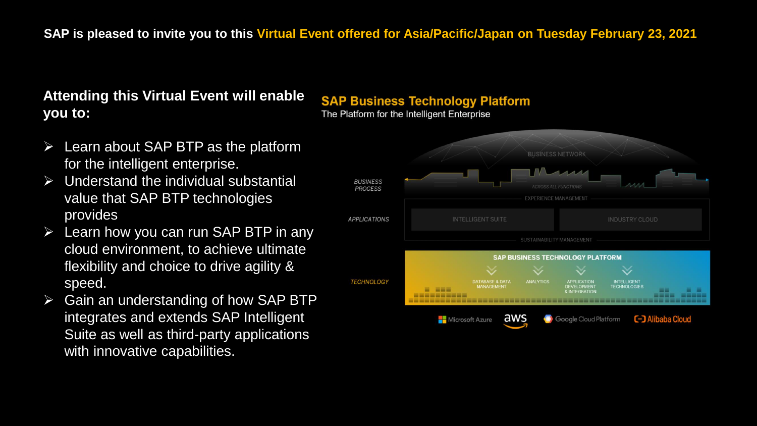## **Attending this Virtual Event will enable you to:**

- Learn about SAP BTP as the platform for the intelligent enterprise.
- $\triangleright$  Understand the individual substantial value that SAP BTP technologies provides
- $\triangleright$  Learn how you can run SAP BTP in any cloud environment, to achieve ultimate flexibility and choice to drive agility & speed.
- $\triangleright$  Gain an understanding of how SAP BTP integrates and extends SAP Intelligent Suite as well as third-party applications with innovative capabilities.

## **SAP Business Technology Platform**

The Platform for the Intelligent Enterprise

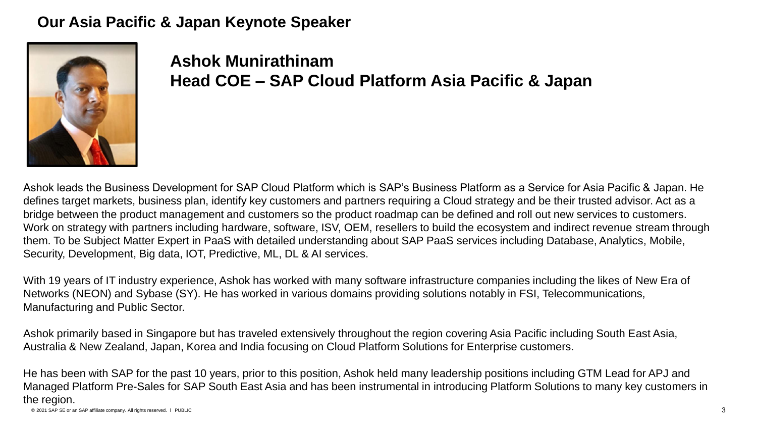### **Our Asia Pacific & Japan Keynote Speaker**



**Ashok Munirathinam Head COE – SAP Cloud Platform Asia Pacific & Japan**

Ashok leads the Business Development for SAP Cloud Platform which is SAP's Business Platform as a Service for Asia Pacific & Japan. He defines target markets, business plan, identify key customers and partners requiring a Cloud strategy and be their trusted advisor. Act as a bridge between the product management and customers so the product roadmap can be defined and roll out new services to customers. Work on strategy with partners including hardware, software, ISV, OEM, resellers to build the ecosystem and indirect revenue stream through them. To be Subject Matter Expert in PaaS with detailed understanding about SAP PaaS services including Database, Analytics, Mobile, Security, Development, Big data, IOT, Predictive, ML, DL & AI services.

With 19 years of IT industry experience, Ashok has worked with many software infrastructure companies including the likes of New Era of Networks (NEON) and Sybase (SY). He has worked in various domains providing solutions notably in FSI, Telecommunications, Manufacturing and Public Sector.

Ashok primarily based in Singapore but has traveled extensively throughout the region covering Asia Pacific including South East Asia, Australia & New Zealand, Japan, Korea and India focusing on Cloud Platform Solutions for Enterprise customers.

© 2021 SAP SE or an SAP affiliate company. All rights reserved. ǀ PUBLIC 3 He has been with SAP for the past 10 years, prior to this position, Ashok held many leadership positions including GTM Lead for APJ and Managed Platform Pre-Sales for SAP South East Asia and has been instrumental in introducing Platform Solutions to many key customers in the region.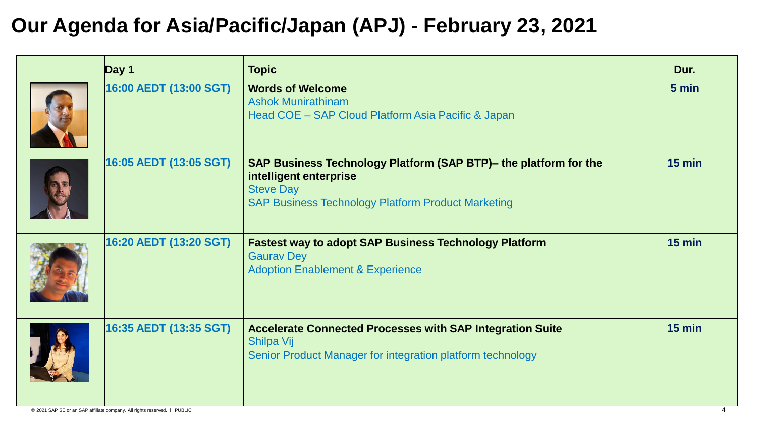# **Our Agenda for Asia/Pacific/Japan (APJ) - February 23, 2021**

| $\log 1$               | <b>Topic</b>                                                                                                                                                                | Dur.     |
|------------------------|-----------------------------------------------------------------------------------------------------------------------------------------------------------------------------|----------|
| 16:00 AEDT (13:00 SGT) | <b>Words of Welcome</b><br><b>Ashok Munirathinam</b><br>Head COE - SAP Cloud Platform Asia Pacific & Japan                                                                  | 5 min    |
| 16:05 AEDT (13:05 SGT) | SAP Business Technology Platform (SAP BTP)- the platform for the<br>intelligent enterprise<br><b>Steve Day</b><br><b>SAP Business Technology Platform Product Marketing</b> | $15$ min |
| 16:20 AEDT (13:20 SGT) | <b>Fastest way to adopt SAP Business Technology Platform</b><br><b>Gaurav Dey</b><br><b>Adoption Enablement &amp; Experience</b>                                            | $15$ min |
| 16:35 AEDT (13:35 SGT) | <b>Accelerate Connected Processes with SAP Integration Suite</b><br>Shilpa Vij<br>Senior Product Manager for integration platform technology                                | $15$ min |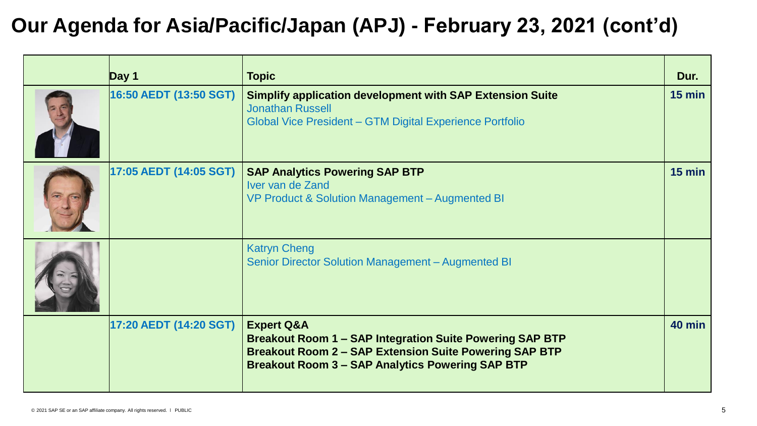# **Our Agenda for Asia/Pacific/Japan (APJ) - February 23, 2021 (cont'd)**

| Day 1                  | <b>Topic</b>                                                                                                                                                                                                         | Dur.          |
|------------------------|----------------------------------------------------------------------------------------------------------------------------------------------------------------------------------------------------------------------|---------------|
| 16:50 AEDT (13:50 SGT) | <b>Simplify application development with SAP Extension Suite</b><br><b>Jonathan Russell</b><br>Global Vice President - GTM Digital Experience Portfolio                                                              | $15$ min      |
| 17:05 AEDT (14:05 SGT) | <b>SAP Analytics Powering SAP BTP</b><br>Iver van de Zand<br>VP Product & Solution Management - Augmented BI                                                                                                         | $15$ min      |
|                        | <b>Katryn Cheng</b><br>Senior Director Solution Management - Augmented BI                                                                                                                                            |               |
| 17:20 AEDT (14:20 SGT) | <b>Expert Q&amp;A</b><br><b>Breakout Room 1 - SAP Integration Suite Powering SAP BTP</b><br><b>Breakout Room 2 - SAP Extension Suite Powering SAP BTP</b><br><b>Breakout Room 3 - SAP Analytics Powering SAP BTP</b> | <b>40 min</b> |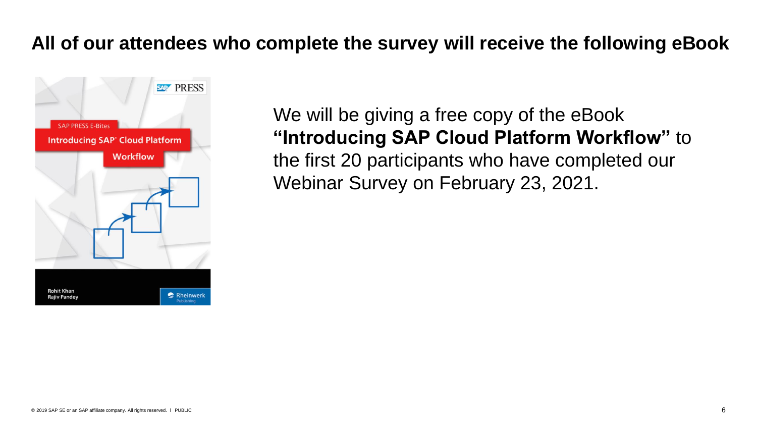## **All of our attendees who complete the survey will receive the following eBook**



We will be giving a free copy of the eBook **"Introducing SAP Cloud Platform Workflow"** to the first 20 participants who have completed our Webinar Survey on February 23, 2021.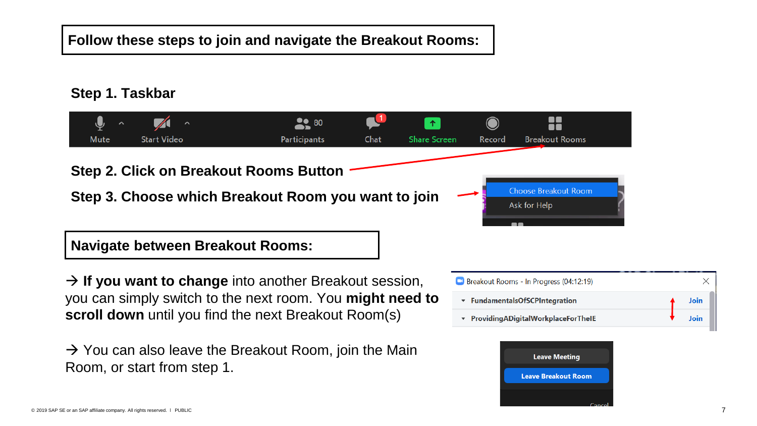#### **Follow these steps to join and navigate the Breakout Rooms:**

#### **Step 1. Taskbar**



→ **If you want to change** into another Breakout session, you can simply switch to the next room. You **might need to scroll down** until you find the next Breakout Room(s)

 $\rightarrow$  You can also leave the Breakout Room, join the Main Room, or start from step 1.



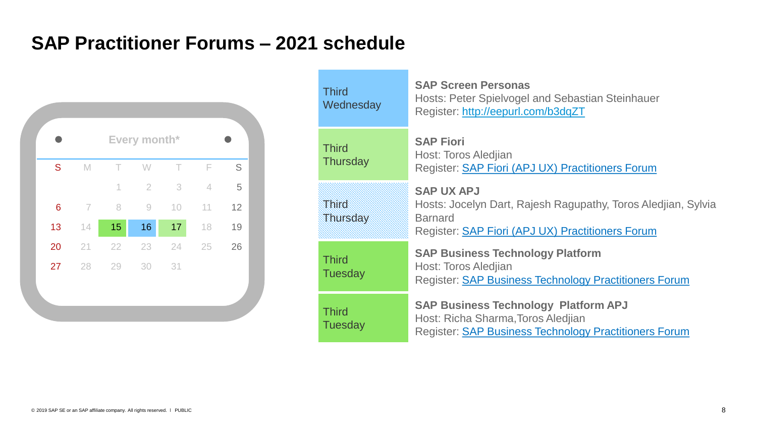## **SAP Practitioner Forums – 2021 schedule**



| <b>Third</b><br>Wednesday                                                                                                                                                           | <b>SAP Screen Personas</b><br>Hosts: Peter Spielvogel and Sebastian Steinhauer<br>Register: http://eepurl.com/b3dqZT                                            |
|-------------------------------------------------------------------------------------------------------------------------------------------------------------------------------------|-----------------------------------------------------------------------------------------------------------------------------------------------------------------|
| <b>Third</b><br><b>Thursday</b>                                                                                                                                                     | <b>SAP Fiori</b><br>Host: Toros Aledjian<br>Register: <b>SAP Fiori (APJ UX) Practitioners Forum</b>                                                             |
| <b>Third</b><br>Thursday                                                                                                                                                            | <b>SAP UX APJ</b><br>Hosts: Jocelyn Dart, Rajesh Ragupathy, Toros Aledjian, Sylvia<br><b>Barnard</b><br>Register: <b>SAP Fiori (APJ UX) Practitioners Forum</b> |
| <b>Third</b><br><b>Tuesday</b>                                                                                                                                                      | <b>SAP Business Technology Platform</b><br>Host: Toros Aledjian<br><b>Register: SAP Business Technology Practitioners Forum</b>                                 |
| <b>SAP Business Technology Platform APJ</b><br><b>Third</b><br>Host: Richa Sharma, Toros Aledjian<br><b>Tuesday</b><br>Register: <b>SAP Business Technology Practitioners Forum</b> |                                                                                                                                                                 |